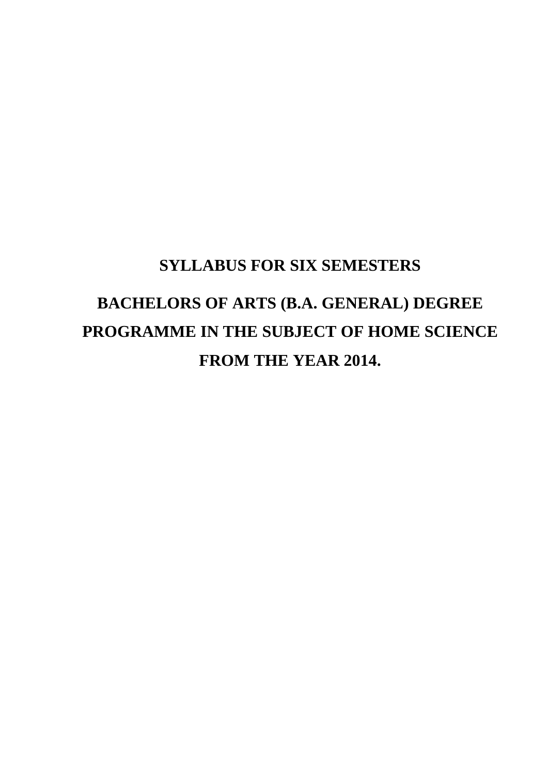# **SYLLABUS FOR SIX SEMESTERS**

# **BACHELORS OF ARTS (B.A. GENERAL) DEGREE PROGRAMME IN THE SUBJECT OF HOME SCIENCE FROM THE YEAR 2014.**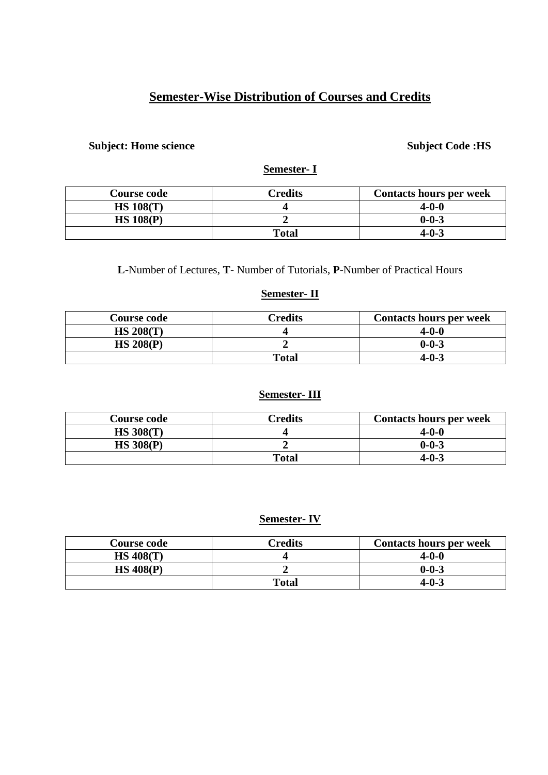# **Semester-Wise Distribution of Courses and Credits**

#### **Subject: Home science Subject Code :HS**

# **Semester- I**

| <b>Course code</b> | Credits | <b>Contacts hours per week</b> |
|--------------------|---------|--------------------------------|
| <b>HS 108(T)</b>   |         | $4 - 0 - 0$                    |
| HS 108(P)          |         | $0 - 0 - 3$                    |
|                    | Total   | $4 - 0 - 3$                    |

**L-**Number of Lectures, **T**- Number of Tutorials, **P**-Number of Practical Hours

#### **Semester- II**

| <b>Course code</b> | Credits | <b>Contacts hours per week</b> |
|--------------------|---------|--------------------------------|
| HS 208(T)          |         | 4-0-0                          |
| HS 208(P)          |         | $0 - 0 - 3$                    |
|                    | Total   | $4 - 0 - 3$                    |

# **Semester- III**

| <b>Course code</b> | <b>Predits</b> | <b>Contacts hours per week</b> |
|--------------------|----------------|--------------------------------|
| <b>HS 308(T)</b>   |                | $4 - 0 - 0$                    |
| <b>HS 308(P)</b>   |                | $0 - 0 - 3$                    |
|                    | Total          | 4-0-3                          |

# **Semester- IV**

| Course code      | <b>Predits</b> | <b>Contacts hours per week</b> |
|------------------|----------------|--------------------------------|
| <b>HS 408(T)</b> |                | 4-0-0                          |
| HS 408(P)        |                | $0 - 0 - 3$                    |
|                  | <b>Total</b>   | 4-0-3                          |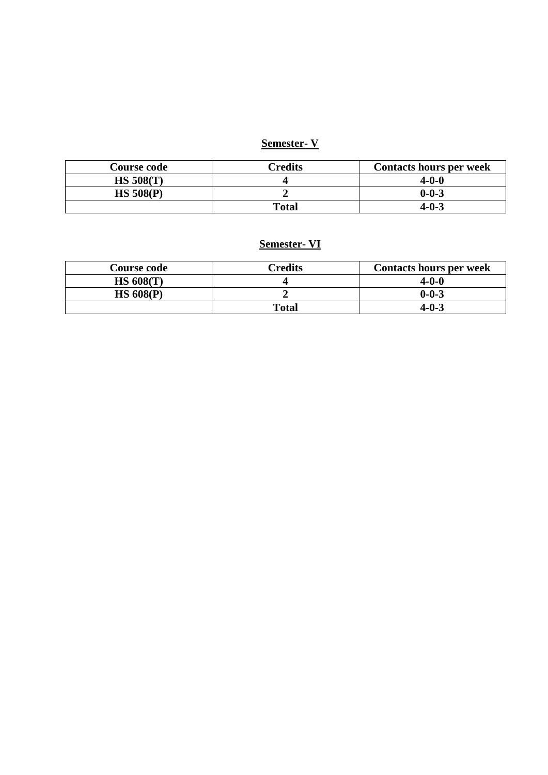# **Semester- V**

| <b>Course code</b> | Credits | <b>Contacts hours per week</b> |
|--------------------|---------|--------------------------------|
| HS 508(T)          |         | 4-0-0                          |
| <b>HS 508(P)</b>   |         | $0 - 0 - 3$                    |
|                    | Total   | $4 - 0 - 3$                    |

# **Semester- VI**

| <b>Course code</b> | Credits | <b>Contacts hours per week</b> |
|--------------------|---------|--------------------------------|
| HS 608(T)          |         | 4-0-0                          |
| HS 608(P)          |         | $0 - 0 - 3$                    |
|                    | Total   | $4 - 0 - 3$                    |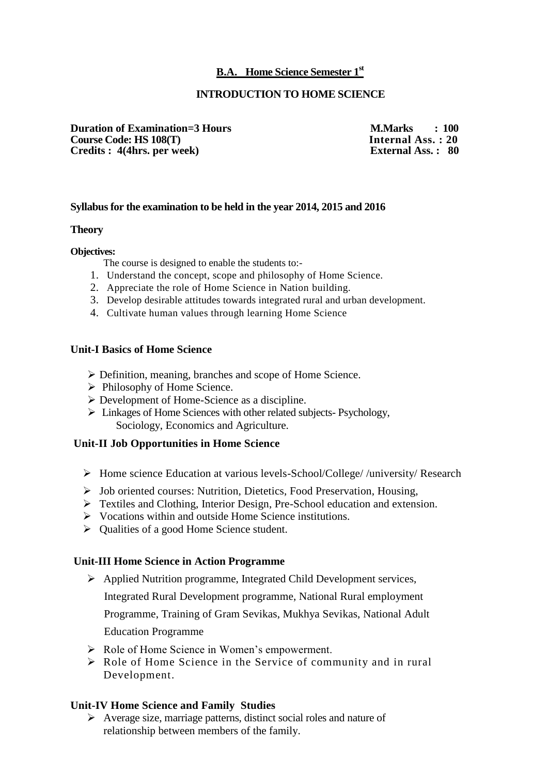#### **B.A. Home Science Semester 1st**

#### **INTRODUCTION TO HOME SCIENCE**

**Duration of Examination=3 Hours M.Marks : 100**<br> **Course Code: HS 108(T) Internal Ass. : 20 Course Code: HS 108(T)** Internal Ass. : 20<br>
Credits : 4(4hrs. per week) External Ass. : 80 **Credits : 4(4hrs. per week)** 

#### **Syllabus for the examination to be held in the year 2014, 2015 and 2016**

#### **Theory**

**Objectives:**

The course is designed to enable the students to:-

- 1. Understand the concept, scope and philosophy of Home Science.
- 2. Appreciate the role of Home Science in Nation building.
- 3. Develop desirable attitudes towards integrated rural and urban development.
- 4. Cultivate human values through learning Home Science

#### **Unit-I Basics of Home Science**

- Definition, meaning, branches and scope of Home Science.
- $\triangleright$  Philosophy of Home Science.
- Development of Home-Science as a discipline.
- Linkages of Home Sciences with other related subjects- Psychology, Sociology, Economics and Agriculture.

#### **Unit-II Job Opportunities in Home Science**

- Home science Education at various levels-School/College/ /university/ Research
- Job oriented courses: Nutrition, Dietetics, Food Preservation, Housing,
- Textiles and Clothing, Interior Design, Pre-School education and extension.
- Vocations within and outside Home Science institutions.
- $\triangleright$  Qualities of a good Home Science student.

#### **Unit-III Home Science in Action Programme**

Applied Nutrition programme, Integrated Child Development services,

Integrated Rural Development programme, National Rural employment

Programme, Training of Gram Sevikas, Mukhya Sevikas, National Adult

Education Programme

- Role of Home Science in Women's empowerment.
- Role of Home Science in the Service of community and in rural Development.

#### **Unit-IV Home Science and Family Studies**

 $\triangleright$  Average size, marriage patterns, distinct social roles and nature of relationship between members of the family.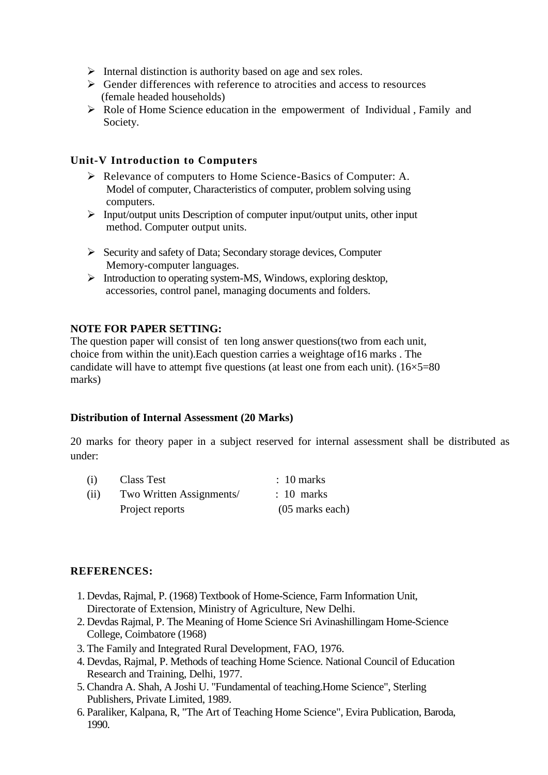- $\triangleright$  Internal distinction is authority based on age and sex roles.
- $\triangleright$  Gender differences with reference to atrocities and access to resources (female headed households)
- Role of Home Science education in the empowerment of Individual , Family and Society.

#### **Unit-V Introduction to Computers**

- Relevance of computers to Home Science-Basics of Computer: A. Model of computer, Characteristics of computer, problem solving using computers.
- $\triangleright$  Input/output units Description of computer input/output units, other input method. Computer output units.
- $\triangleright$  Security and safety of Data; Secondary storage devices, Computer Memory-computer languages.
- $\triangleright$  Introduction to operating system-MS, Windows, exploring desktop, accessories, control panel, managing documents and folders.

#### **NOTE FOR PAPER SETTING:**

The question paper will consist of ten long answer questions(two from each unit, choice from within the unit).Each question carries a weightage of16 marks . The candidate will have to attempt five questions (at least one from each unit).  $(16\times5=80)$ marks)

#### **Distribution of Internal Assessment (20 Marks)**

20 marks for theory paper in a subject reserved for internal assessment shall be distributed as under:

| (i)  | <b>Class Test</b>        | $\therefore$ 10 marks |
|------|--------------------------|-----------------------|
| (ii) | Two Written Assignments/ | $: 10$ marks          |
|      | Project reports          | $(05$ marks each)     |

#### **REFERENCES:**

- 1. Devdas, Rajmal, P. (1968) Textbook of Home-Science, Farm Information Unit, Directorate of Extension, Ministry of Agriculture, New Delhi.
- 2. Devdas Rajmal, P. The Meaning of Home Science Sri Avinashillingam Home-Science College, Coimbatore (1968)
- 3. The Family and Integrated Rural Development, FAO, 1976.
- 4. Devdas, Rajmal, P. Methods of teaching Home Science. National Council of Education Research and Training, Delhi, 1977.
- 5. Chandra A. Shah, A Joshi U. "Fundamental of teaching.Home Science", Sterling Publishers, Private Limited, 1989.
- 6. Paraliker, Kalpana, R, "The Art of Teaching Home Science", Evira Publication, Baroda, 1990.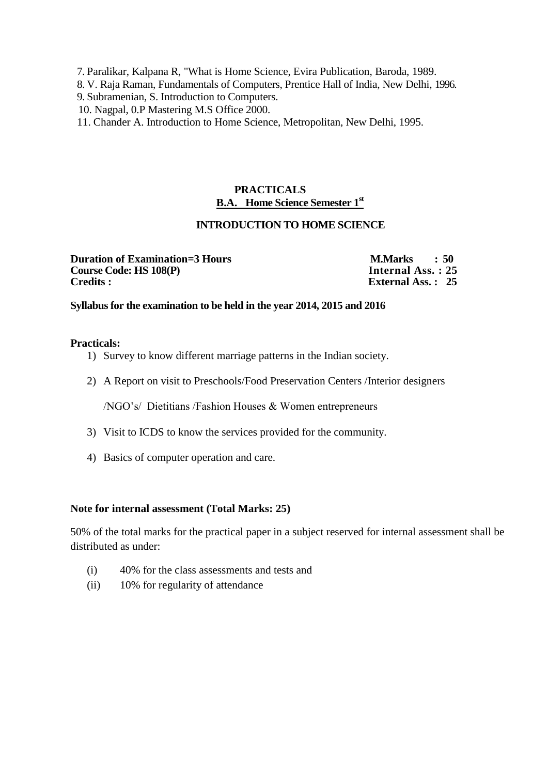7. Paralikar, Kalpana R, "What is Home Science, Evira Publication, Baroda, 1989.

- 8. V. Raja Raman, Fundamentals of Computers, Prentice Hall of India, New Delhi, 1996.
- 9. Subramenian, S. Introduction to Computers.
- 10. Nagpal, 0.P Mastering M.S Office 2000.
- 11. Chander A. Introduction to Home Science, Metropolitan, New Delhi, 1995.

# **PRACTICALS B.A. Home Science Semester 1st**

#### **INTRODUCTION TO HOME SCIENCE**

**Duration of Examination=3 Hours M.Marks : 50**<br>Course Code: HS 108(P) **Internal Ass. : 25 Course Code: HS 108(P)**<br>**Credits :** 

**External Ass. : 25** 

#### **Syllabus for the examination to be held in the year 2014, 2015 and 2016**

#### **Practicals:**

- 1) Survey to know different marriage patterns in the Indian society.
- 2) A Report on visit to Preschools/Food Preservation Centers /Interior designers

/NGO's/ Dietitians /Fashion Houses & Women entrepreneurs

- 3) Visit to ICDS to know the services provided for the community.
- 4) Basics of computer operation and care.

#### **Note for internal assessment (Total Marks: 25)**

- (i) 40% for the class assessments and tests and
- (ii) 10% for regularity of attendance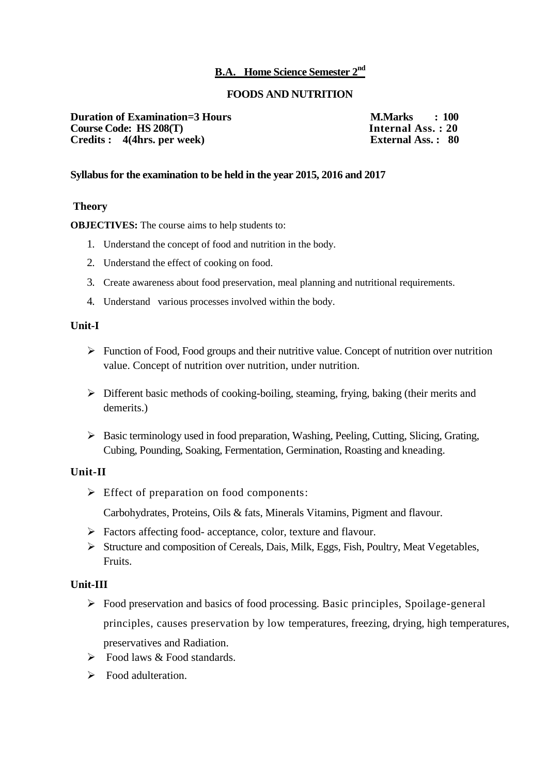#### **B.A. Home Science Semester 2nd**

#### **FOODS AND NUTRITION**

**Duration of Examination=3 Hours M.Marks : 100**<br> **Course Code: HS 208(T) Internal Ass. : 20 Course Code: HS 208(T)** Internal Ass. : 20<br> **Credits :** 4(4hrs. per week) External Ass. : 80 **Credits :** 4(4hrs. per week)

#### **Syllabus for the examination to be held in the year 2015, 2016 and 2017**

#### **Theory**

**OBJECTIVES:** The course aims to help students to:

- 1. Understand the concept of food and nutrition in the body.
- 2. Understand the effect of cooking on food.
- 3. Create awareness about food preservation, meal planning and nutritional requirements.
- 4. Understand various processes involved within the body.

#### **Unit-I**

- $\triangleright$  Function of Food, Food groups and their nutritive value. Concept of nutrition over nutrition value. Concept of nutrition over nutrition, under nutrition.
- $\triangleright$  Different basic methods of cooking-boiling, steaming, frying, baking (their merits and demerits.)
- Basic terminology used in food preparation, Washing, Peeling, Cutting, Slicing, Grating, Cubing, Pounding, Soaking, Fermentation, Germination, Roasting and kneading.

#### **Unit-II**

 $\triangleright$  Effect of preparation on food components:

Carbohydrates, Proteins, Oils & fats, Minerals Vitamins, Pigment and flavour.

- $\triangleright$  Factors affecting food- acceptance, color, texture and flavour.
- Structure and composition of Cereals, Dais, Milk, Eggs, Fish, Poultry, Meat Vegetables, Fruits.

#### **Unit-III**

- Food preservation and basics of food processing. Basic principles, Spoilage-general principles, causes preservation by low temperatures, freezing, drying, high temperatures, preservatives and Radiation.
- $\triangleright$  Food laws & Food standards.
- $\triangleright$  Food adulteration.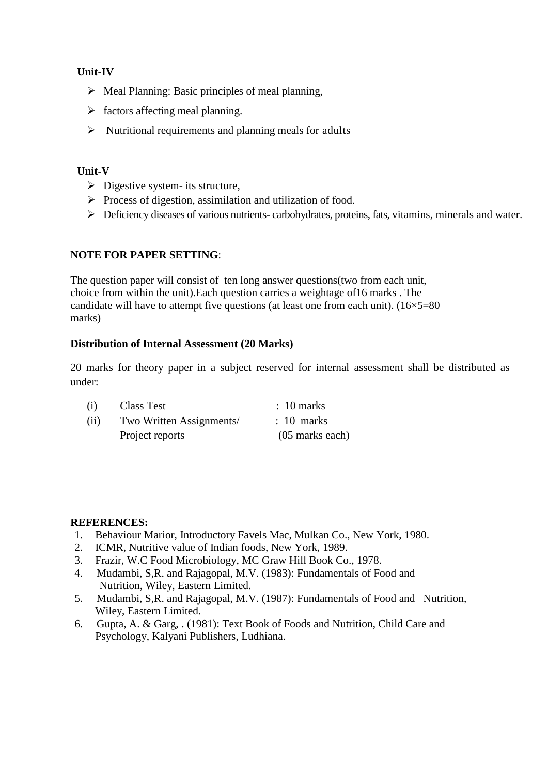#### **Unit-IV**

- $\triangleright$  Meal Planning: Basic principles of meal planning,
- $\triangleright$  factors affecting meal planning.
- $\triangleright$  Nutritional requirements and planning meals for adults

#### **Unit-V**

- $\triangleright$  Digestive system- its structure,
- $\triangleright$  Process of digestion, assimilation and utilization of food.
- Deficiency diseases of various nutrients- carbohydrates, proteins, fats, vitamins, minerals and water.

#### **NOTE FOR PAPER SETTING**:

The question paper will consist of ten long answer questions(two from each unit, choice from within the unit).Each question carries a weightage of16 marks . The candidate will have to attempt five questions (at least one from each unit).  $(16\times5=80$ marks)

#### **Distribution of Internal Assessment (20 Marks)**

20 marks for theory paper in a subject reserved for internal assessment shall be distributed as under:

| (i)  | Class Test               | $\therefore$ 10 marks |
|------|--------------------------|-----------------------|
| (ii) | Two Written Assignments/ | $\therefore$ 10 marks |
|      | Project reports          | $(05$ marks each)     |

#### **REFERENCES:**

- 1. Behaviour Marior, Introductory Favels Mac, Mulkan Co., New York, 1980.
- 2. ICMR, Nutritive value of Indian foods, New York, 1989.
- 3. Frazir, W.C Food Microbiology, MC Graw Hill Book Co., 1978.
- 4. Mudambi, S,R. and Rajagopal, M.V. (1983): Fundamentals of Food and Nutrition, Wiley, Eastern Limited.
- 5. Mudambi, S,R. and Rajagopal, M.V. (1987): Fundamentals of Food and Nutrition, Wiley, Eastern Limited.
- 6. Gupta, A. & Garg, . (1981): Text Book of Foods and Nutrition, Child Care and Psychology, Kalyani Publishers, Ludhiana.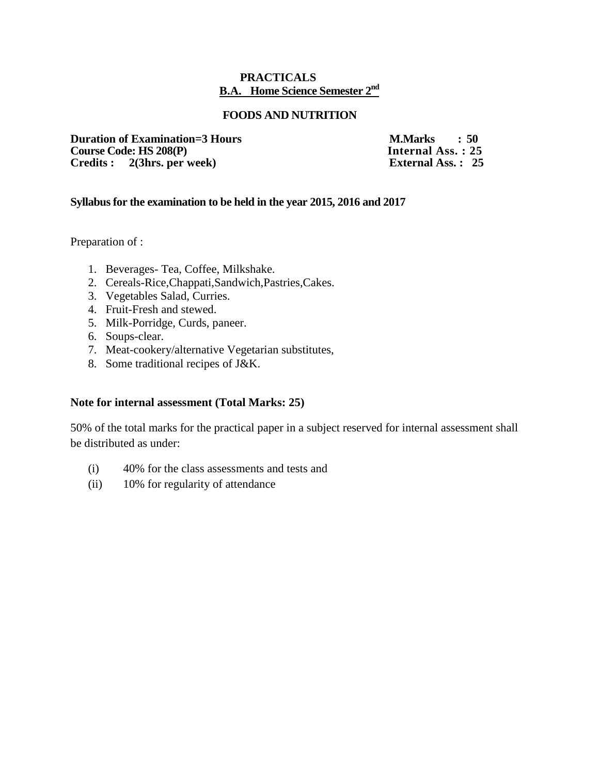#### **PRACTICALS B.A. Home Science Semester 2 nd**

#### **FOODS AND NUTRITION**

**Duration of Examination=3 Hours M.Marks : 50**<br>Course Code: HS 208(P) **Internal Ass. : 25 Course Code: HS 208(P)** Internal Ass. : 25<br> **Credits :** 2(3hrs. per week) External Ass. : 25 **Credits :** 2(3hrs. per week)

#### **Syllabus for the examination to be held in the year 2015, 2016 and 2017**

Preparation of :

- 1. Beverages- Tea, Coffee, Milkshake.
- 2. Cereals-Rice,Chappati,Sandwich,Pastries,Cakes.
- 3. Vegetables Salad, Curries.
- 4. Fruit-Fresh and stewed.
- 5. Milk-Porridge, Curds, paneer.
- 6. Soups-clear.
- 7. Meat-cookery/alternative Vegetarian substitutes,
- 8. Some traditional recipes of J&K.

#### **Note for internal assessment (Total Marks: 25)**

- (i) 40% for the class assessments and tests and
- (ii) 10% for regularity of attendance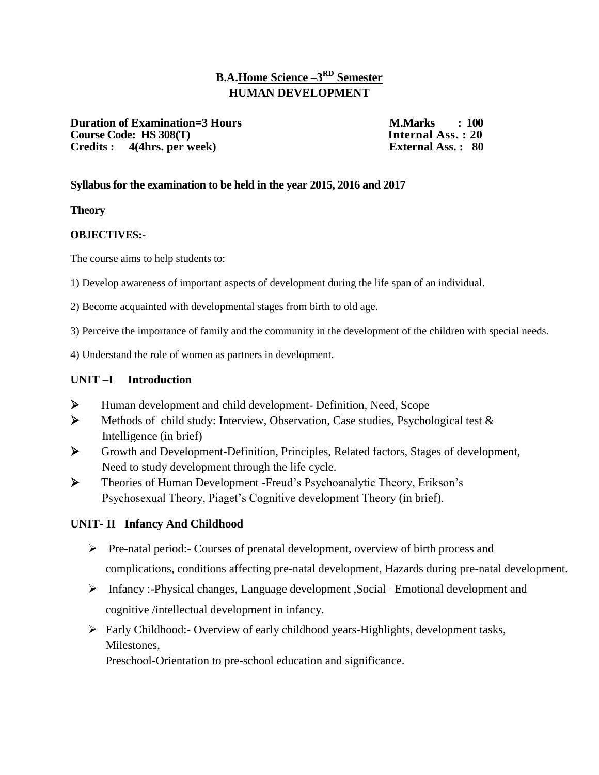# **B.A.Home Science –3 RD Semester HUMAN DEVELOPMENT**

**Duration of Examination=3 Hours M.Marks : 100**<br> **Course Code: HS 308(T) Internal Ass. : 20 Course Code: HS 308(T) Credits : 4(4hrs. per week) External Ass. : 80**

#### **Syllabus for the examination to be held in the year 2015, 2016 and 2017**

**Theory** 

#### **OBJECTIVES:-**

The course aims to help students to:

1) Develop awareness of important aspects of development during the life span of an individual.

2) Become acquainted with developmental stages from birth to old age.

3) Perceive the importance of family and the community in the development of the children with special needs.

4) Understand the role of women as partners in development.

#### **UNIT –I Introduction**

- Human development and child development- Definition, Need, Scope
- $\triangleright$  Methods of child study: Interview, Observation, Case studies, Psychological test  $\&$ Intelligence (in brief)
- Growth and Development-Definition, Principles, Related factors, Stages of development, Need to study development through the life cycle.
- Theories of Human Development -Freud's Psychoanalytic Theory, Erikson's Psychosexual Theory, Piaget's Cognitive development Theory (in brief).

#### **UNIT- II Infancy And Childhood**

- $\triangleright$  Pre-natal period:- Courses of prenatal development, overview of birth process and complications, conditions affecting pre-natal development, Hazards during pre-natal development.
- Infancy :-Physical changes, Language development ,Social– Emotional development and cognitive /intellectual development in infancy.
- Early Childhood:- Overview of early childhood years-Highlights, development tasks, Milestones,

Preschool-Orientation to pre-school education and significance.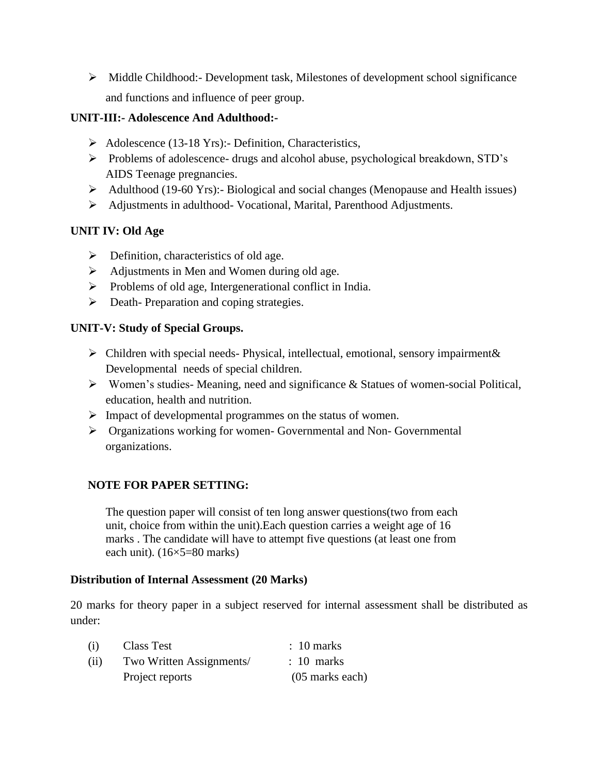$\triangleright$  Middle Childhood:- Development task, Milestones of development school significance and functions and influence of peer group.

### **UNIT-III:- Adolescence And Adulthood:-**

- $\triangleright$  Adolescence (13-18 Yrs):- Definition, Characteristics,
- Problems of adolescence- drugs and alcohol abuse, psychological breakdown, STD's AIDS Teenage pregnancies.
- Adulthood (19-60 Yrs):- Biological and social changes (Menopause and Health issues)
- Adjustments in adulthood- Vocational, Marital, Parenthood Adjustments.

# **UNIT IV: Old Age**

- $\triangleright$  Definition, characteristics of old age.
- $\triangleright$  Adjustments in Men and Women during old age.
- $\triangleright$  Problems of old age, Intergenerational conflict in India.
- $\triangleright$  Death-Preparation and coping strategies.

# **UNIT-V: Study of Special Groups.**

- $\triangleright$  Children with special needs- Physical, intellectual, emotional, sensory impairment & Developmental needs of special children.
- Women's studies- Meaning, need and significance & Statues of women-social Political, education, health and nutrition.
- $\triangleright$  Impact of developmental programmes on the status of women.
- Organizations working for women- Governmental and Non- Governmental organizations.

# **NOTE FOR PAPER SETTING:**

The question paper will consist of ten long answer questions(two from each unit, choice from within the unit).Each question carries a weight age of 16 marks . The candidate will have to attempt five questions (at least one from each unit). (16×5=80 marks)

#### **Distribution of Internal Assessment (20 Marks)**

20 marks for theory paper in a subject reserved for internal assessment shall be distributed as under:

| (i)  | Class Test               | $\therefore$ 10 marks |
|------|--------------------------|-----------------------|
| (ii) | Two Written Assignments/ | $: 10$ marks          |
|      | Project reports          | $(05$ marks each)     |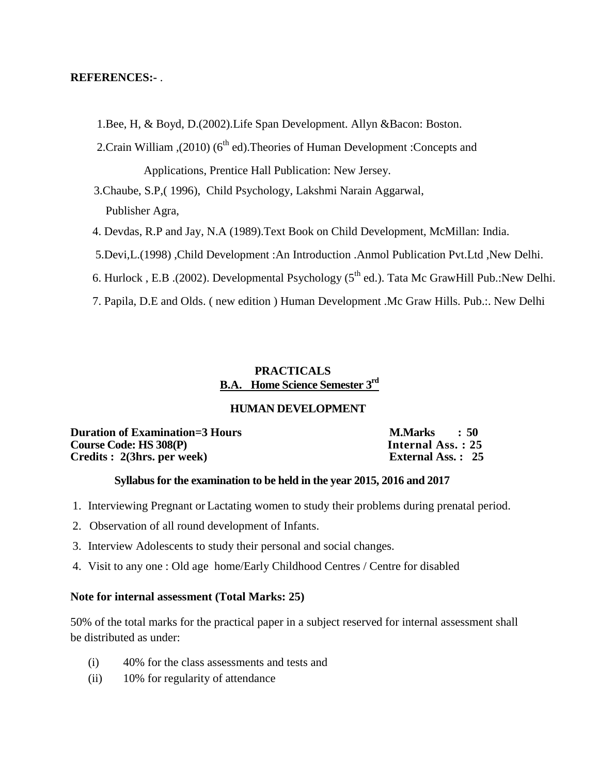#### **REFERENCES:-** .

1.Bee, H, & Boyd, D.(2002).Life Span Development. Allyn &Bacon: Boston.

2. Crain William ,(2010) ( $6<sup>th</sup>$  ed). Theories of Human Development : Concepts and Applications, Prentice Hall Publication: New Jersey.

 3.Chaube, S.P,( 1996), Child Psychology, Lakshmi Narain Aggarwal, Publisher Agra,

4. Devdas, R.P and Jay, N.A (1989).Text Book on Child Development, McMillan: India.

5.Devi,L.(1998) ,Child Development :An Introduction .Anmol Publication Pvt.Ltd ,New Delhi.

6. Hurlock, E.B. (2002). Developmental Psychology (5<sup>th</sup> ed.). Tata Mc GrawHill Pub.:New Delhi.

7. Papila, D.E and Olds. ( new edition ) Human Development .Mc Graw Hills. Pub.:. New Delhi

#### **PRACTICALS B.A. Home Science Semester 3 rd**

#### **HUMAN DEVELOPMENT**

**Duration of Examination=3 Hours M.Marks : 50**<br>Course Code: HS 308(P) **Internal Ass.** : 25 **Course Code: HS 308(P)** Internal Ass. : 25<br> **Credits : 2(3hrs. per week)** External Ass. : 25 **Credits : 2(3hrs. per week)** 

#### **Syllabus for the examination to be held in the year 2015, 2016 and 2017**

- 1. Interviewing Pregnant or Lactating women to study their problems during prenatal period.
- 2. Observation of all round development of Infants.
- 3. Interview Adolescents to study their personal and social changes.
- 4. Visit to any one : Old age home/Early Childhood Centres / Centre for disabled

#### **Note for internal assessment (Total Marks: 25)**

- (i) 40% for the class assessments and tests and
- (ii) 10% for regularity of attendance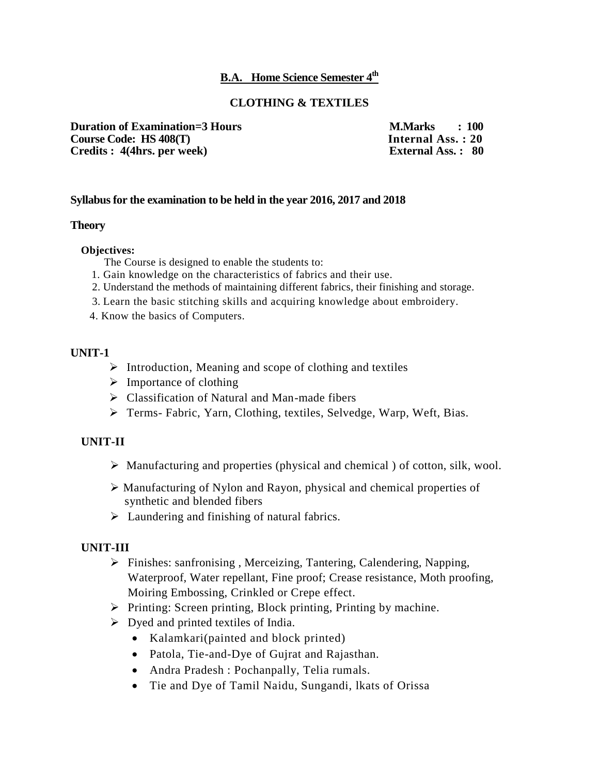# **B.A. Home Science Semester 4 th**

#### **CLOTHING & TEXTILES**

**Duration of Examination=3 Hours M.Marks : 100**<br> **Course Code: HS 408(T) Internal Ass. : 20 Course Code: HS 408(T)** Internal Ass. : 20<br> **Credits : 4(4hrs. per week)** External Ass. : 80 **Credits : 4(4hrs. per week)** 

#### **Syllabus for the examination to be held in the year 2016, 2017 and 2018**

#### **Theory**

#### **Objectives:**

The Course is designed to enable the students to:

- 1. Gain knowledge on the characteristics of fabrics and their use.
- 2. Understand the methods of maintaining different fabrics, their finishing and storage.
- 3. Learn the basic stitching skills and acquiring knowledge about embroidery.
- 4. Know the basics of Computers.

#### **UNIT-1**

- $\triangleright$  Introduction, Meaning and scope of clothing and textiles
- $\triangleright$  Importance of clothing
- $\triangleright$  Classification of Natural and Man-made fibers
- Terms- Fabric, Yarn, Clothing, textiles, Selvedge, Warp, Weft, Bias.

#### **UNIT-II**

- $\triangleright$  Manufacturing and properties (physical and chemical) of cotton, silk, wool.
- Manufacturing of Nylon and Rayon, physical and chemical properties of synthetic and blended fibers
- Laundering and finishing of natural fabrics.

#### **UNIT-III**

- Finishes: sanfronising , Merceizing, Tantering, Calendering, Napping, Waterproof, Water repellant, Fine proof; Crease resistance, Moth proofing, Moiring Embossing, Crinkled or Crepe effect.
- $\triangleright$  Printing: Screen printing, Block printing, Printing by machine.
- $\triangleright$  Dyed and printed textiles of India.
	- Kalamkari(painted and block printed)
	- Patola, Tie-and-Dye of Gujrat and Rajasthan.
	- Andra Pradesh : Pochanpally, Telia rumals.
	- Tie and Dye of Tamil Naidu, Sungandi, lkats of Orissa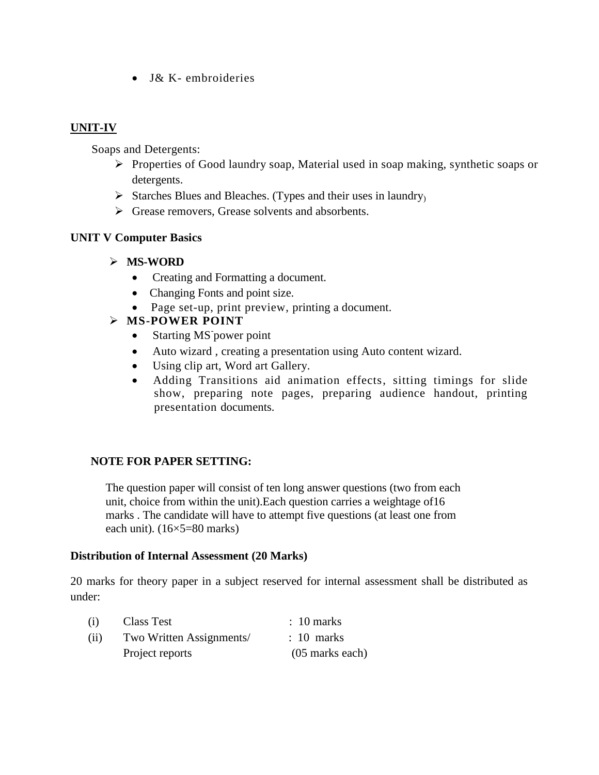• J& K- embroideries

# **UNIT-IV**

Soaps and Detergents:

- Properties of Good laundry soap, Material used in soap making, synthetic soaps or detergents.
- $\triangleright$  Starches Blues and Bleaches. (Types and their uses in laundry)
- $\triangleright$  Grease removers, Grease solvents and absorbents.

#### **UNIT V Computer Basics**

#### **MS-WORD**

- Creating and Formatting a document.
- Changing Fonts and point size.
- Page set-up, print preview, printing a document.

# **MS-POWER POINT**

- Starting MS power point
- Auto wizard , creating a presentation using Auto content wizard.
- Using clip art, Word art Gallery.
- Adding Transitions aid animation effects, sitting timings for slide show, preparing note pages, preparing audience handout, printing presentation documents.

#### **NOTE FOR PAPER SETTING:**

The question paper will consist of ten long answer questions (two from each unit, choice from within the unit).Each question carries a weightage of16 marks . The candidate will have to attempt five questions (at least one from each unit).  $(16\times5=80 \text{ marks})$ 

#### **Distribution of Internal Assessment (20 Marks)**

20 marks for theory paper in a subject reserved for internal assessment shall be distributed as under:

| (i)  | <b>Class Test</b>        | $\therefore$ 10 marks |
|------|--------------------------|-----------------------|
| (ii) | Two Written Assignments/ | $: 10$ marks          |
|      | Project reports          | $(05$ marks each)     |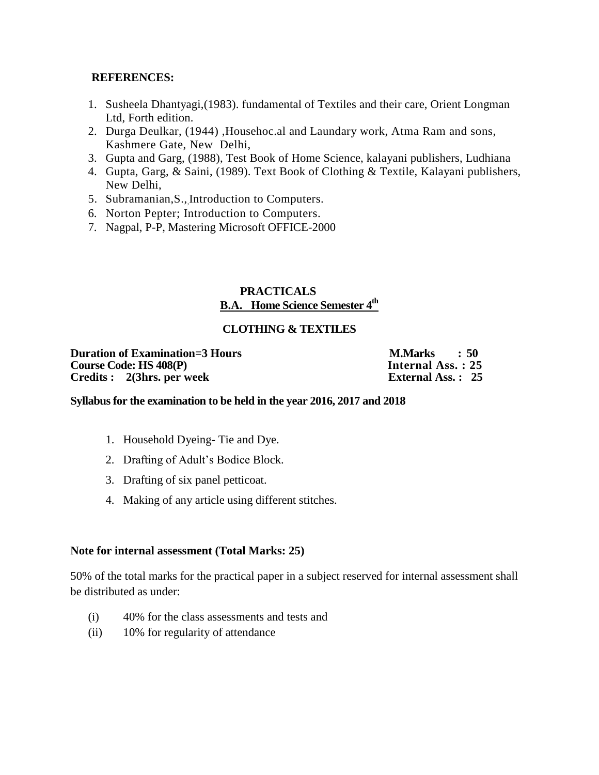#### **REFERENCES:**

- 1. Susheela Dhantyagi,(1983). fundamental of Textiles and their care, Orient Longman Ltd, Forth edition.
- 2. Durga Deulkar, (1944) ,Househoc.al and Laundary work, Atma Ram and sons, Kashmere Gate, New Delhi,
- 3. Gupta and Garg, (1988), Test Book of Home Science, kalayani publishers, Ludhiana
- 4. Gupta, Garg, & Saini, (1989). Text Book of Clothing & Textile, Kalayani publishers, New Delhi,
- 5. Subramanian,S.,,Introduction to Computers.
- 6. Norton Pepter; Introduction to Computers.
- 7. Nagpal, P-P, Mastering Microsoft OFFICE-2000

#### **PRACTICALS B.A. Home Science Semester 4 th**

#### **CLOTHING & TEXTILES**

**Duration of Examination=3 Hours M.Marks : 50 Course Code: HS 408(P) Internal Ass. : 25 Credits : 2(3hrs. per week)** 

#### **Syllabus for the examination to be held in the year 2016, 2017 and 2018**

- 1. Household Dyeing- Tie and Dye.
- 2. Drafting of Adult's Bodice Block.
- 3. Drafting of six panel petticoat.
- 4. Making of any article using different stitches.

#### **Note for internal assessment (Total Marks: 25)**

- (i) 40% for the class assessments and tests and
- (ii) 10% for regularity of attendance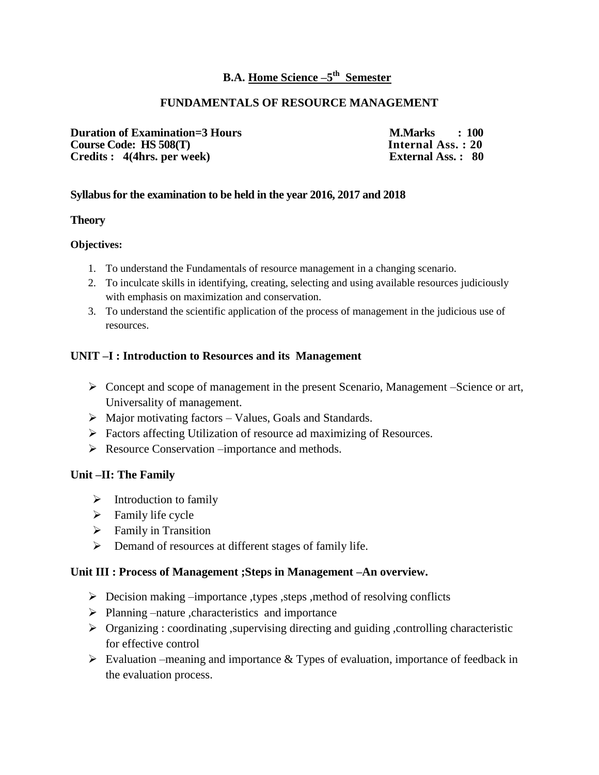# **B.A.** Home Science  $-5$ <sup>th</sup> Semester

#### **FUNDAMENTALS OF RESOURCE MANAGEMENT**

**Duration of Examination=3 Hours M.Marks : 100**<br> **Course Code: HS 508(T) Internal Ass. : 20 Course Code: HS 508(T)** Internal Ass. : 20<br> **Credits :** 4(4hrs. per week) External Ass. : 80 **Credits : 4(4hrs. per week)** 

#### **Syllabus for the examination to be held in the year 2016, 2017 and 2018**

#### **Theory**

#### **Objectives:**

- 1. To understand the Fundamentals of resource management in a changing scenario.
- 2. To inculcate skills in identifying, creating, selecting and using available resources judiciously with emphasis on maximization and conservation.
- 3. To understand the scientific application of the process of management in the judicious use of resources.

#### **UNIT –I : Introduction to Resources and its Management**

- Concept and scope of management in the present Scenario, Management –Science or art, Universality of management.
- $\triangleright$  Major motivating factors Values, Goals and Standards.
- Factors affecting Utilization of resource ad maximizing of Resources.
- Resource Conservation –importance and methods.

#### **Unit –II: The Family**

- $\triangleright$  Introduction to family
- $\triangleright$  Family life cycle
- $\triangleright$  Family in Transition
- $\triangleright$  Demand of resources at different stages of family life.

#### **Unit III : Process of Management ;Steps in Management –An overview.**

- $\triangleright$  Decision making –importance ,types ,steps ,method of resolving conflicts
- $\triangleright$  Planning –nature ,characteristics and importance
- $\triangleright$  Organizing : coordinating , supervising directing and guiding , controlling characteristic for effective control
- $\triangleright$  Evaluation –meaning and importance & Types of evaluation, importance of feedback in the evaluation process.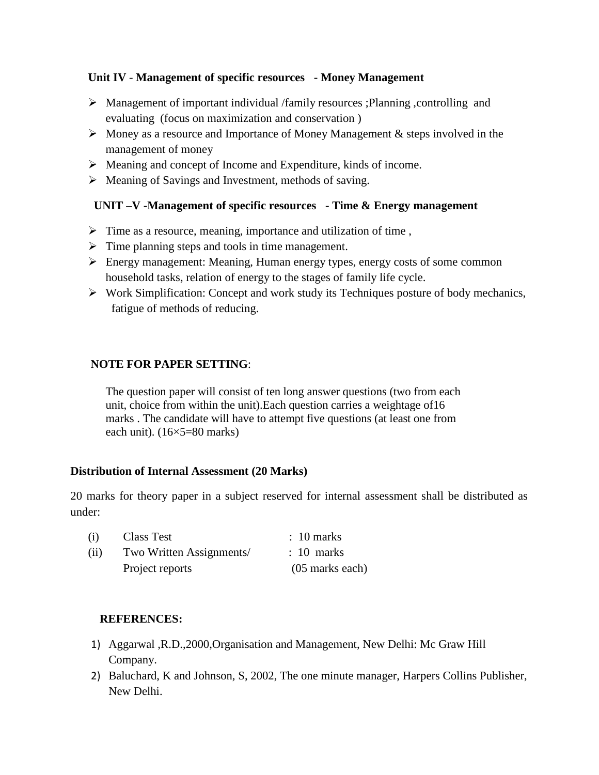#### **Unit IV** - **Management of specific resources - Money Management**

- Management of important individual /family resources ;Planning ,controlling and evaluating (focus on maximization and conservation )
- $\triangleright$  Money as a resource and Importance of Money Management & steps involved in the management of money
- Meaning and concept of Income and Expenditure, kinds of income.
- $\triangleright$  Meaning of Savings and Investment, methods of saving.

#### **UNIT –V -Management of specific resources - Time & Energy management**

- $\triangleright$  Time as a resource, meaning, importance and utilization of time,
- $\triangleright$  Time planning steps and tools in time management.
- Energy management: Meaning, Human energy types, energy costs of some common household tasks, relation of energy to the stages of family life cycle.
- $\triangleright$  Work Simplification: Concept and work study its Techniques posture of body mechanics, fatigue of methods of reducing.

#### **NOTE FOR PAPER SETTING**:

The question paper will consist of ten long answer questions (two from each unit, choice from within the unit).Each question carries a weightage of16 marks . The candidate will have to attempt five questions (at least one from each unit). (16×5=80 marks)

#### **Distribution of Internal Assessment (20 Marks)**

20 marks for theory paper in a subject reserved for internal assessment shall be distributed as under:

| (i)  | Class Test               | $\therefore$ 10 marks |
|------|--------------------------|-----------------------|
| (ii) | Two Written Assignments/ | $\therefore$ 10 marks |
|      | Project reports          | $(05$ marks each)     |

#### **REFERENCES:**

- 1) Aggarwal ,R.D.,2000,Organisation and Management, New Delhi: Mc Graw Hill Company.
- 2) Baluchard, K and Johnson, S, 2002, The one minute manager, Harpers Collins Publisher, New Delhi.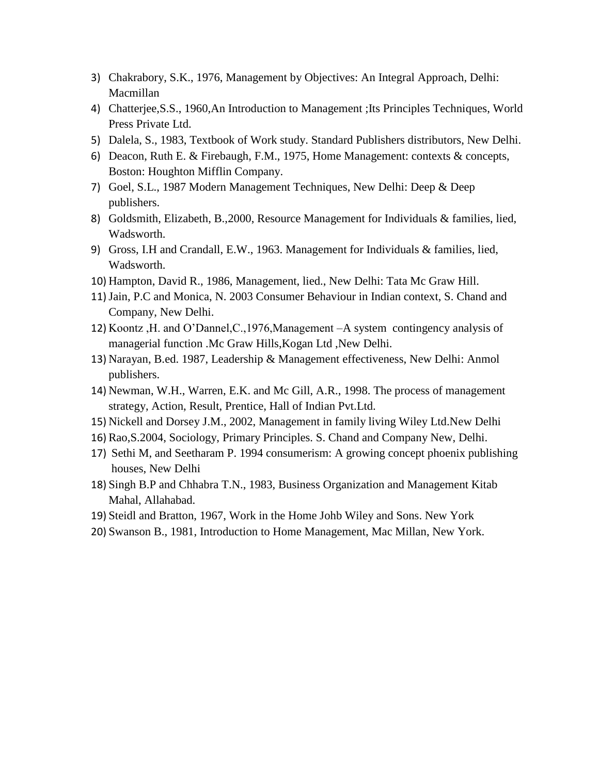- 3) Chakrabory, S.K., 1976, Management by Objectives: An Integral Approach, Delhi: Macmillan
- 4) Chatterjee,S.S., 1960,An Introduction to Management ;Its Principles Techniques, World Press Private Ltd.
- 5) Dalela, S., 1983, Textbook of Work study. Standard Publishers distributors, New Delhi.
- 6) Deacon, Ruth E. & Firebaugh, F.M., 1975, Home Management: contexts & concepts, Boston: Houghton Mifflin Company.
- 7) Goel, S.L., 1987 Modern Management Techniques, New Delhi: Deep & Deep publishers.
- 8) Goldsmith, Elizabeth, B.,2000, Resource Management for Individuals & families, lied, Wadsworth.
- 9) Gross, I.H and Crandall, E.W., 1963. Management for Individuals & families, lied, Wadsworth.
- 10) Hampton, David R., 1986, Management, lied., New Delhi: Tata Mc Graw Hill.
- 11)Jain, P.C and Monica, N. 2003 Consumer Behaviour in Indian context, S. Chand and Company, New Delhi.
- 12) Koontz ,H. and O'Dannel,C.,1976,Management –A system contingency analysis of managerial function .Mc Graw Hills,Kogan Ltd ,New Delhi.
- 13) Narayan, B.ed. 1987, Leadership & Management effectiveness, New Delhi: Anmol publishers.
- 14) Newman, W.H., Warren, E.K. and Mc Gill, A.R., 1998. The process of management strategy, Action, Result, Prentice, Hall of Indian Pvt.Ltd.
- 15) Nickell and Dorsey J.M., 2002, Management in family living Wiley Ltd.New Delhi
- 16) Rao,S.2004, Sociology, Primary Principles. S. Chand and Company New, Delhi.
- 17) Sethi M, and Seetharam P. 1994 consumerism: A growing concept phoenix publishing houses, New Delhi
- 18) Singh B.P and Chhabra T.N., 1983, Business Organization and Management Kitab Mahal, Allahabad.
- 19) Steidl and Bratton, 1967, Work in the Home Johb Wiley and Sons. New York
- 20) Swanson B., 1981, Introduction to Home Management, Mac Millan, New York.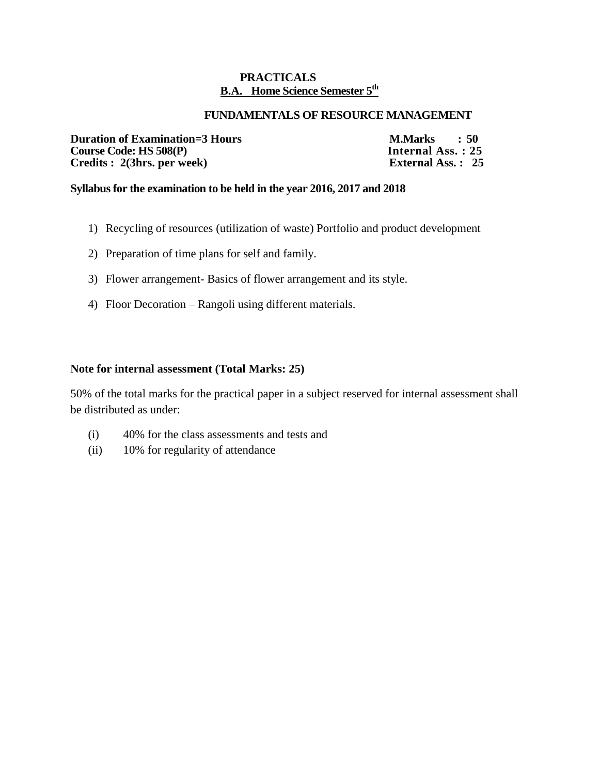#### **PRACTICALS B.A. Home Science Semester 5 th**

#### **FUNDAMENTALS OF RESOURCE MANAGEMENT**

**Duration of Examination=3 Hours M.Marks : 50**<br>Course Code: HS 508(P) **Internal Ass. : 25 Course Code: HS 508(P)** Internal Ass. : 25<br> **Credits : 2(3hrs. per week)** External Ass. : 25 **Credits : 2(3hrs. per week)** 

#### **Syllabus for the examination to be held in the year 2016, 2017 and 2018**

- 1) Recycling of resources (utilization of waste) Portfolio and product development
- 2) Preparation of time plans for self and family.
- 3) Flower arrangement- Basics of flower arrangement and its style.
- 4) Floor Decoration Rangoli using different materials.

#### **Note for internal assessment (Total Marks: 25)**

- (i) 40% for the class assessments and tests and
- (ii) 10% for regularity of attendance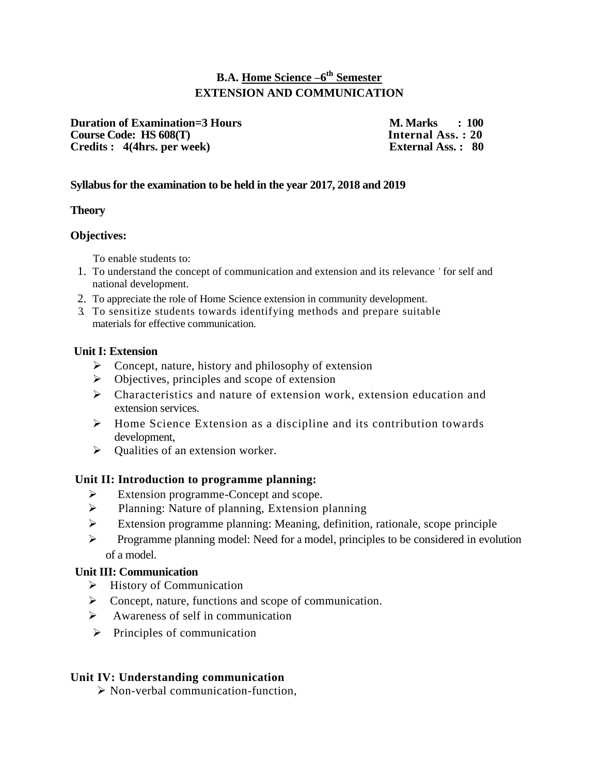# **B.A. Home Science –6 th Semester EXTENSION AND COMMUNICATION**

**Duration of Examination=3 Hours M. Marks**  $\cdot$  **100**<br> **Course Code: HS 608(T)** Internal Ass. : 20 **Course Code: HS 608(T)** Internal Ass. : 20<br>
Credits : 4(4hrs. per week) External Ass. : 80 **Credits : 4(4hrs. per week)** 

#### **Syllabus for the examination to be held in the year 2017, 2018 and 2019**

#### **Theory**

#### **Objectives:**

To enable students to:

- 1. To understand the concept of communication and extension and its relevance ' for self and national development.
- 2. To appreciate the role of Home Science extension in community development.
- 3. To sensitize students towards identifying methods and prepare suitable materials for effective communication.

#### **Unit I: Extension**

- $\triangleright$  Concept, nature, history and philosophy of extension
- $\triangleright$  Objectives, principles and scope of extension
- $\triangleright$  Characteristics and nature of extension work, extension education and extension services.
- $\triangleright$  Home Science Extension as a discipline and its contribution towards development,
- $\triangleright$  Qualities of an extension worker.

#### **Unit II: Introduction to programme planning:**

- Extension programme-Concept and scope.
- > Planning: Nature of planning, Extension planning
- Extension programme planning: Meaning, definition, rationale, scope principle
- $\triangleright$  Programme planning model: Need for a model, principles to be considered in evolution of a model.

#### **Unit III: Communication**

- $\triangleright$  History of Communication
- $\triangleright$  Concept, nature, functions and scope of communication.
- $\triangleright$  Awareness of self in communication
- $\triangleright$  Principles of communication

#### **Unit IV: Understanding communication**

 $\triangleright$  Non-verbal communication-function.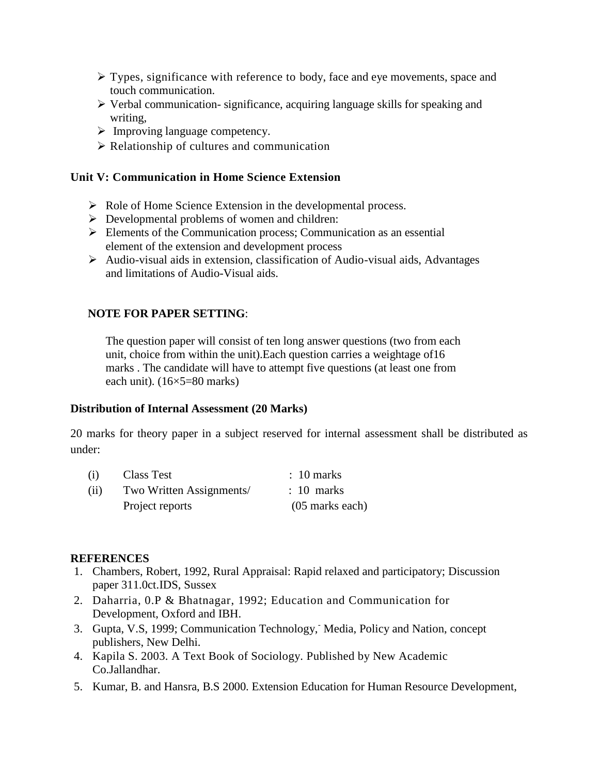- $\triangleright$  Types, significance with reference to body, face and eye movements, space and touch communication.
- $\triangleright$  Verbal communication- significance, acquiring language skills for speaking and writing,
- $\triangleright$  Improving language competency.
- $\triangleright$  Relationship of cultures and communication

#### **Unit V: Communication in Home Science Extension**

- $\triangleright$  Role of Home Science Extension in the developmental process.
- $\triangleright$  Developmental problems of women and children:
- Elements of the Communication process; Communication as an essential element of the extension and development process
- $\triangleright$  Audio-visual aids in extension, classification of Audio-visual aids, Advantages and limitations of Audio-Visual aids.

#### **NOTE FOR PAPER SETTING**:

The question paper will consist of ten long answer questions (two from each unit, choice from within the unit).Each question carries a weightage of16 marks . The candidate will have to attempt five questions (at least one from each unit). (16×5=80 marks)

#### **Distribution of Internal Assessment (20 Marks)**

20 marks for theory paper in a subject reserved for internal assessment shall be distributed as under:

| (i)  | <b>Class Test</b>        | $\therefore$ 10 marks |
|------|--------------------------|-----------------------|
| (ii) | Two Written Assignments/ | $\therefore$ 10 marks |
|      | Project reports          | $(05$ marks each)     |

#### **REFERENCES**

- 1. Chambers, Robert, 1992, Rural Appraisal: Rapid relaxed and participatory; Discussion paper 311.0ct.IDS, Sussex
- 2. Daharria, 0.P & Bhatnagar, 1992; Education and Communication for Development, Oxford and IBH.
- 3. Gupta, V.S, 1999; Communication Technology, Media, Policy and Nation, concept publishers, New Delhi.
- 4. Kapila S. 2003. A Text Book of Sociology. Published by New Academic Co.Jallandhar.
- 5. Kumar, B. and Hansra, B.S 2000. Extension Education for Human Resource Development,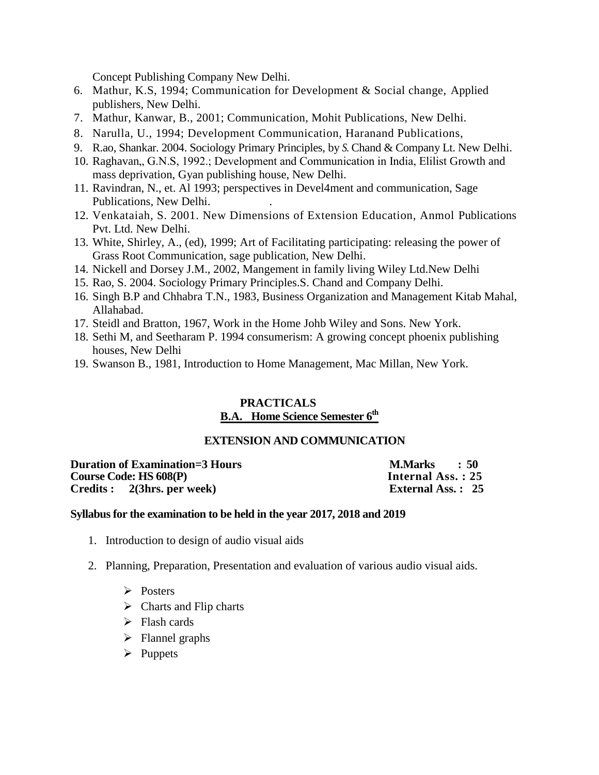Concept Publishing Company New Delhi.

- 6. Mathur, K.S, 1994; Communication for Development & Social change, Applied publishers, New Delhi.
- 7. Mathur, Kanwar, B., 2001; Communication, Mohit Publications, New Delhi.
- 8. Narulla, U., 1994; Development Communication, Haranand Publications,
- 9. R.ao, Shankar. 2004. Sociology Primary Principles, by *S.* Chand & Company Lt. New Delhi.
- 10. Raghavan,, G.N.S, 1992.; Development and Communication in India, Elilist Growth and mass deprivation, Gyan publishing house, New Delhi.
- 11. Ravindran, N., et. Al 1993; perspectives in Devel4ment and communication, Sage Publications, New Delhi. .
- 12. Venkataiah, S. 2001. New Dimensions of Extension Education, Anmol Publications Pvt. Ltd. New Delhi.
- 13. White, Shirley, A., (ed), 1999; Art of Facilitating participating: releasing the power of Grass Root Communication, sage publication, New Delhi.
- 14. Nickell and Dorsey J.M., 2002, Mangement in family living Wiley Ltd.New Delhi
- 15. Rao, S. 2004. Sociology Primary Principles.S. Chand and Company Delhi.
- 16. Singh B.P and Chhabra T.N., 1983, Business Organization and Management Kitab Mahal, Allahabad.
- 17. Steidl and Bratton, 1967, Work in the Home Johb Wiley and Sons. New York.
- 18. Sethi M, and Seetharam P. 1994 consumerism: A growing concept phoenix publishing houses, New Delhi
- 19. Swanson B., 1981, Introduction to Home Management, Mac Millan, New York.

# **PRACTICALS**

# **B.A. Home Science Semester 6 th**

#### **EXTENSION AND COMMUNICATION**

**Duration of Examination=3 Hours M.Marks : 50 Course Code: HS 608(P) Internal Ass. : 25** Credits : 2(3hrs. per week) External Ass. : 25

#### **Syllabus for the examination to be held in the year 2017, 2018 and 2019**

- 1. Introduction to design of audio visual aids
- 2. Planning, Preparation, Presentation and evaluation of various audio visual aids.
	- $\triangleright$  Posters
	- $\triangleright$  Charts and Flip charts
	- $\triangleright$  Flash cards
	- $\triangleright$  Flannel graphs
	- $\triangleright$  Puppets